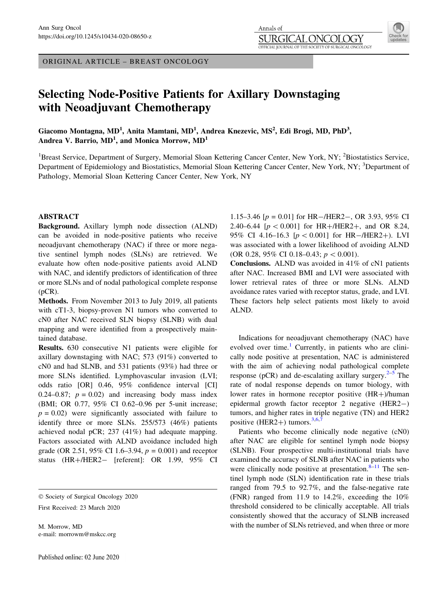ORIGINAL ARTICLE – BREAST ONCOLOGY

# Selecting Node-Positive Patients for Axillary Downstaging with Neoadjuvant Chemotherapy

Giacomo Montagna, MD<sup>1</sup>, Anita Mamtani, MD<sup>1</sup>, Andrea Knezevic, MS<sup>2</sup>, Edi Brogi, MD, PhD<sup>3</sup>, Andrea V. Barrio,  $\text{MD}^1$ , and Monica Morrow,  $\text{MD}^1$ 

<sup>1</sup>Breast Service, Department of Surgery, Memorial Sloan Kettering Cancer Center, New York, NY; <sup>2</sup>Biostatistics Service, Department of Epidemiology and Biostatistics, Memorial Sloan Kettering Cancer Center, New York, NY; <sup>3</sup>Department of Pathology, Memorial Sloan Kettering Cancer Center, New York, NY

# ABSTRACT

Background. Axillary lymph node dissection (ALND) can be avoided in node-positive patients who receive neoadjuvant chemotherapy (NAC) if three or more negative sentinel lymph nodes (SLNs) are retrieved. We evaluate how often node-positive patients avoid ALND with NAC, and identify predictors of identification of three or more SLNs and of nodal pathological complete response (pCR).

Methods. From November 2013 to July 2019, all patients with cT1-3, biopsy-proven N1 tumors who converted to cN0 after NAC received SLN biopsy (SLNB) with dual mapping and were identified from a prospectively maintained database.

Results. 630 consecutive N1 patients were eligible for axillary downstaging with NAC; 573 (91%) converted to cN0 and had SLNB, and 531 patients (93%) had three or more SLNs identified. Lymphovascular invasion (LVI; odds ratio [OR] 0.46, 95% confidence interval [CI] 0.24–0.87;  $p = 0.02$ ) and increasing body mass index (BMI; OR 0.77, 95% CI 0.62–0.96 per 5-unit increase;  $p = 0.02$ ) were significantly associated with failure to identify three or more SLNs. 255/573 (46%) patients achieved nodal pCR; 237 (41%) had adequate mapping. Factors associated with ALND avoidance included high grade (OR 2.51, 95% CI 1.6–3.94,  $p = 0.001$ ) and receptor status (HR+/HER2- [referent]: OR 1.99, 95% CI

First Received: 23 March 2020

M. Morrow, MD e-mail: morrowm@mskcc.org

1.15–3.46  $[p = 0.01]$  for HR-/HER2–, OR 3.93, 95% CI 2.40–6.44 [ $p < 0.001$ ] for HR+/HER2+, and OR 8.24, 95% CI 4.16–16.3  $[p < 0.001]$  for HR-/HER2+). LVI was associated with a lower likelihood of avoiding ALND (OR 0.28, 95% CI 0.18–0.43;  $p < 0.001$ ).

Conclusions. ALND was avoided in 41% of cN1 patients after NAC. Increased BMI and LVI were associated with lower retrieval rates of three or more SLNs. ALND avoidance rates varied with receptor status, grade, and LVI. These factors help select patients most likely to avoid ALND.

Indications for neoadjuvant chemotherapy (NAC) have evolved over time.<sup>[1](#page-6-0)</sup> Currently, in patients who are clinically node positive at presentation, NAC is administered with the aim of achieving nodal pathological complete response (pCR) and de-escalating axillary surgery. $2-5$  The rate of nodal response depends on tumor biology, with lower rates in hormone receptor positive  $(HR+)$ /human epidermal growth factor receptor 2 negative (HER2-) tumors, and higher rates in triple negative (TN) and HER2 positive (HER2+) tumors. $3,6,7$ 

Patients who become clinically node negative (cN0) after NAC are eligible for sentinel lymph node biopsy (SLNB). Four prospective multi-institutional trials have examined the accuracy of SLNB after NAC in patients who were clinically node positive at presentation. $8-11$  The sentinel lymph node (SLN) identification rate in these trials ranged from 79.5 to 92.7%, and the false-negative rate (FNR) ranged from 11.9 to 14.2%, exceeding the 10% threshold considered to be clinically acceptable. All trials consistently showed that the accuracy of SLNB increased with the number of SLNs retrieved, and when three or more



<sup>-</sup> Society of Surgical Oncology 2020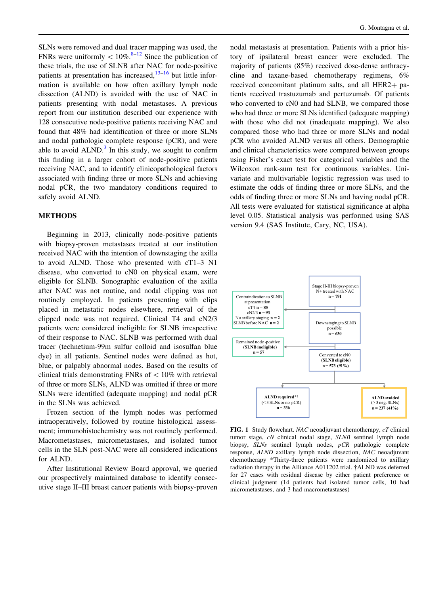<span id="page-1-0"></span>SLNs were removed and dual tracer mapping was used, the FNRs were uniformly  $\lt 10\%$ .<sup>[8–12](#page-6-0)</sup> Since the publication of these trials, the use of SLNB after NAC for node-positive patients at presentation has increased,  $13-16$  but little information is available on how often axillary lymph node dissection (ALND) is avoided with the use of NAC in patients presenting with nodal metastases. A previous report from our institution described our experience with 128 consecutive node-positive patients receiving NAC and found that 48% had identification of three or more SLNs and nodal pathologic complete response (pCR), and were able to avoid  $ALND<sup>3</sup>$  $ALND<sup>3</sup>$  $ALND<sup>3</sup>$  In this study, we sought to confirm this finding in a larger cohort of node-positive patients receiving NAC, and to identify clinicopathological factors associated with finding three or more SLNs and achieving nodal pCR, the two mandatory conditions required to safely avoid ALND.

## METHODS

Beginning in 2013, clinically node-positive patients with biopsy-proven metastases treated at our institution received NAC with the intention of downstaging the axilla to avoid ALND. Those who presented with cT1–3 N1 disease, who converted to cN0 on physical exam, were eligible for SLNB. Sonographic evaluation of the axilla after NAC was not routine, and nodal clipping was not routinely employed. In patients presenting with clips placed in metastatic nodes elsewhere, retrieval of the clipped node was not required. Clinical T4 and cN2/3 patients were considered ineligible for SLNB irrespective of their response to NAC. SLNB was performed with dual tracer (technetium-99m sulfur colloid and isosulfan blue dye) in all patients. Sentinel nodes were defined as hot, blue, or palpably abnormal nodes. Based on the results of clinical trials demonstrating FNRs of  $\langle 10\%$  with retrieval of three or more SLNs, ALND was omitted if three or more SLNs were identified (adequate mapping) and nodal pCR in the SLNs was achieved.

Frozen section of the lymph nodes was performed intraoperatively, followed by routine histological assessment; immunohistochemistry was not routinely performed. Macrometastases, micrometastases, and isolated tumor cells in the SLN post-NAC were all considered indications for ALND.

After Institutional Review Board approval, we queried our prospectively maintained database to identify consecutive stage II–III breast cancer patients with biopsy-proven

nodal metastasis at presentation. Patients with a prior history of ipsilateral breast cancer were excluded. The majority of patients (85%) received dose-dense anthracycline and taxane-based chemotherapy regimens, 6% received concomitant platinum salts, and all  $HER2 + pa$ tients received trastuzumab and pertuzumab. Of patients who converted to cN0 and had SLNB, we compared those who had three or more SLNs identified (adequate mapping) with those who did not (inadequate mapping). We also compared those who had three or more SLNs and nodal pCR who avoided ALND versus all others. Demographic and clinical characteristics were compared between groups using Fisher's exact test for categorical variables and the Wilcoxon rank-sum test for continuous variables. Univariate and multivariable logistic regression was used to estimate the odds of finding three or more SLNs, and the odds of finding three or more SLNs and having nodal pCR. All tests were evaluated for statistical significance at alpha level 0.05. Statistical analysis was performed using SAS version 9.4 (SAS Institute, Cary, NC, USA).



FIG. 1 Study flowchart. NAC neoadjuvant chemotherapy, cT clinical tumor stage, cN clinical nodal stage, SLNB sentinel lymph node biopsy, SLNs sentinel lymph nodes, pCR pathologic complete response, ALND axillary lymph node dissection, NAC neoadjuvant chemotherapy \*Thirty-three patients were randomized to axillary radiation therapy in the Alliance A011202 trial. †ALND was deferred for 27 cases with residual disease by either patient preference or clinical judgment (14 patients had isolated tumor cells, 10 had micrometastases, and 3 had macrometastases)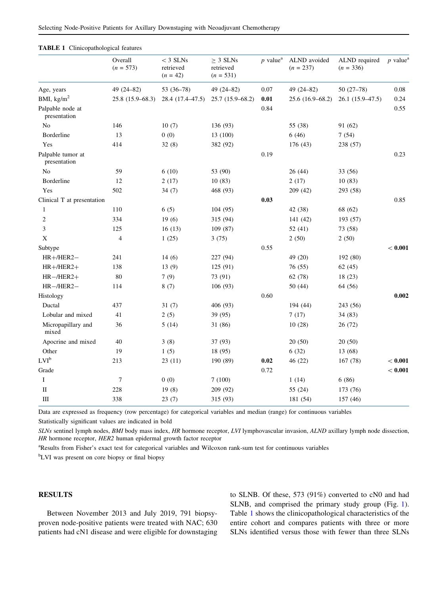|                                   | Overall<br>$(n = 573)$ | $<$ 3 SLNs<br>retrieved<br>$(n = 42)$ | $\geq$ 3 SLNs<br>retrieved<br>$(n = 531)$ | $p$ value <sup>a</sup> | ALND avoided<br>$(n = 237)$ | ALND required<br>$(n = 336)$ | $p$ value <sup>a</sup> |
|-----------------------------------|------------------------|---------------------------------------|-------------------------------------------|------------------------|-----------------------------|------------------------------|------------------------|
| Age, years                        | 49 (24-82)             | 53 (36-78)                            | 49 (24-82)                                | 0.07                   | 49 $(24 - 82)$              | $50(27-78)$                  | 0.08                   |
| BMI, $\text{kg/m}^2$              | $25.8(15.9 - 68.3)$    | 28.4 (17.4–47.5)                      | $25.7(15.9 - 68.2)$                       | 0.01                   | $25.6(16.9 - 68.2)$         | $26.1(15.9-47.5)$            | 0.24                   |
| Palpable node at<br>presentation  |                        |                                       |                                           | 0.84                   |                             |                              | 0.55                   |
| N <sub>0</sub>                    | 146                    | 10(7)                                 | 136 (93)                                  |                        | 55 (38)                     | 91 (62)                      |                        |
| Borderline                        | 13                     | 0(0)                                  | 13 (100)                                  |                        | 6(46)                       | 7(54)                        |                        |
| Yes                               | 414                    | 32(8)                                 | 382 (92)                                  |                        | 176 (43)                    | 238 (57)                     |                        |
| Palpable tumor at<br>presentation |                        |                                       |                                           | 0.19                   |                             |                              | 0.23                   |
| No                                | 59                     | 6(10)                                 | 53 (90)                                   |                        | 26(44)                      | 33 (56)                      |                        |
| Borderline                        | 12                     | 2(17)                                 | 10(83)                                    |                        | 2(17)                       | 10(83)                       |                        |
| Yes                               | 502                    | 34 (7)                                | 468 (93)                                  |                        | 209(42)                     | 293 (58)                     |                        |
| Clinical T at presentation        |                        |                                       |                                           | 0.03                   |                             |                              | 0.85                   |
| 1                                 | 110                    | 6(5)                                  | 104(95)                                   |                        | 42 (38)                     | 68 (62)                      |                        |
| $\overline{2}$                    | 334                    | 19(6)                                 | 315 (94)                                  |                        | 141 (42)                    | 193 (57)                     |                        |
| 3                                 | 125                    | 16(13)                                | 109 (87)                                  |                        | 52 $(41)$                   | 73 (58)                      |                        |
| X                                 | $\overline{4}$         | 1(25)                                 | 3(75)                                     |                        | 2(50)                       | 2(50)                        |                        |
| Subtype                           |                        |                                       |                                           | 0.55                   |                             |                              | < 0.001                |
| $HR+ / HER2-$                     | 241                    | 14(6)                                 | 227 (94)                                  |                        | 49 (20)                     | 192 (80)                     |                        |
| $HR+ / HER2+$                     | 138                    | 13(9)                                 | 125 (91)                                  |                        | 76 (55)                     | 62(45)                       |                        |
| $HR$ -/HER2+                      | 80                     | 7(9)                                  | 73 (91)                                   |                        | 62 (78)                     | 18(23)                       |                        |
| $HR - / HER2 -$                   | 114                    | 8(7)                                  | 106(93)                                   |                        | 50 (44)                     | 64 (56)                      |                        |
| Histology                         |                        |                                       |                                           | 0.60                   |                             |                              | 0.002                  |
| Ductal                            | 437                    | 31(7)                                 | 406 (93)                                  |                        | 194 (44)                    | 243 (56)                     |                        |
| Lobular and mixed                 | 41                     | 2(5)                                  | 39 (95)                                   |                        | 7(17)                       | 34 (83)                      |                        |
| Micropapillary and<br>mixed       | 36                     | 5(14)                                 | 31 (86)                                   |                        | 10(28)                      | 26 (72)                      |                        |
| Apocrine and mixed                | 40                     | 3(8)                                  | 37 (93)                                   |                        | 20(50)                      | 20(50)                       |                        |
| Other                             | 19                     | 1(5)                                  | 18 (95)                                   |                        | 6(32)                       | 13 (68)                      |                        |
| LVI <sup>b</sup>                  | 213                    | 23 (11)                               | 190 (89)                                  | 0.02                   | 46 (22)                     | 167 (78)                     | < 0.001                |
| Grade                             |                        |                                       |                                           | 0.72                   |                             |                              | < 0.001                |
| $\mathbf I$                       | $\tau$                 | 0(0)                                  | 7(100)                                    |                        | 1(14)                       | 6(86)                        |                        |
| $\;$ II                           | 228                    | 19(8)                                 | 209 (92)                                  |                        | 55 (24)                     | 173 (76)                     |                        |
| $\rm III$                         | 338                    | 23(7)                                 | 315 (93)                                  |                        | 181 (54)                    | 157 (46)                     |                        |

#### <span id="page-2-0"></span>TABLE 1 Clinicopathological features

Data are expressed as frequency (row percentage) for categorical variables and median (range) for continuous variables Statistically significant values are indicated in bold

SLNs sentinel lymph nodes, BMI body mass index, HR hormone receptor, LVI lymphovascular invasion, ALND axillary lymph node dissection, HR hormone receptor, HER2 human epidermal growth factor receptor

<sup>a</sup>Results from Fisher's exact test for categorical variables and Wilcoxon rank-sum test for continuous variables

<sup>b</sup>LVI was present on core biopsy or final biopsy

## RESULTS

Between November 2013 and July 2019, 791 biopsyproven node-positive patients were treated with NAC; 630 patients had cN1 disease and were eligible for downstaging to SLNB. Of these, 573 (91%) converted to cN0 and had SLNB, and comprised the primary study group (Fig. [1](#page-1-0)). Table 1 shows the clinicopathological characteristics of the entire cohort and compares patients with three or more SLNs identified versus those with fewer than three SLNs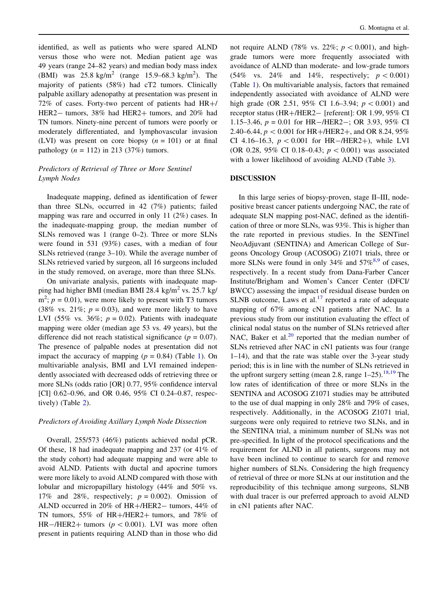identified, as well as patients who were spared ALND versus those who were not. Median patient age was 49 years (range 24–82 years) and median body mass index (BMI) was  $25.8 \text{ kg/m}^2$  (range 15.9–68.3 kg/m<sup>2</sup>). The majority of patients (58%) had cT2 tumors. Clinically palpable axillary adenopathy at presentation was present in  $72\%$  of cases. Forty-two percent of patients had HR+/ HER2- tumors, 38% had HER2+ tumors, and 20% had TN tumors. Ninety-nine percent of tumors were poorly or moderately differentiated, and lymphovascular invasion (LVI) was present on core biopsy  $(n = 101)$  or at final pathology  $(n = 112)$  in 213 (37%) tumors.

# Predictors of Retrieval of Three or More Sentinel Lymph Nodes

Inadequate mapping, defined as identification of fewer than three SLNs, occurred in 42 (7%) patients; failed mapping was rare and occurred in only 11 (2%) cases. In the inadequate-mapping group, the median number of SLNs removed was 1 (range 0–2). Three or more SLNs were found in 531 (93%) cases, with a median of four SLNs retrieved (range 3–10). While the average number of SLNs retrieved varied by surgeon, all 16 surgeons included in the study removed, on average, more than three SLNs.

On univariate analysis, patients with inadequate mapping had higher BMI (median BMI 28.4 kg/m<sup>2</sup> vs. 25.7 kg/  $m^2$ ;  $p = 0.01$ ), were more likely to present with T3 tumors  $(38\% \text{ vs. } 21\%; p = 0.03)$ , and were more likely to have LVI (55% vs. 36%;  $p = 0.02$ ). Patients with inadequate mapping were older (median age 53 vs. 49 years), but the difference did not reach statistical significance ( $p = 0.07$ ). The presence of palpable nodes at presentation did not impact the accuracy of mapping  $(p = 0.84)$  (Table [1](#page-2-0)). On multivariable analysis, BMI and LVI remained independently associated with decreased odds of retrieving three or more SLNs (odds ratio [OR] 0.77, 95% confidence interval [CI] 0.62–0.96, and OR 0.46, 95% CI 0.24–0.87, respectively) (Table [2](#page-4-0)).

## Predictors of Avoiding Axillary Lymph Node Dissection

Overall, 255/573 (46%) patients achieved nodal pCR. Of these, 18 had inadequate mapping and 237 (or 41% of the study cohort) had adequate mapping and were able to avoid ALND. Patients with ductal and apocrine tumors were more likely to avoid ALND compared with those with lobular and micropapillary histology (44% and 50% vs. 17% and 28%, respectively;  $p = 0.002$ ). Omission of ALND occurred in 20% of HR+/HER2- tumors, 44% of TN tumors,  $55\%$  of HR+/HER2+ tumors, and 78% of HR-/HER2+ tumors ( $p < 0.001$ ). LVI was more often present in patients requiring ALND than in those who did

not require ALND (78% vs. 22%;  $p < 0.001$ ), and highgrade tumors were more frequently associated with avoidance of ALND than moderate- and low-grade tumors (54% vs. 24% and 14%, respectively;  $p < 0.001$ ) (Table [1\)](#page-2-0). On multivariable analysis, factors that remained independently associated with avoidance of ALND were high grade (OR 2.51, 95% CI 1.6–3.94;  $p < 0.001$ ) and receptor status (HR+/HER2- [referent]: OR 1.99, 95% CI 1.15–3.46,  $p = 0.01$  for HR-/HER2-; OR 3.93, 95% CI 2.40–6.44,  $p < 0.001$  for HR+/HER2+, and OR 8.24, 95% CI 4.16–16.3,  $p < 0.001$  for HR-/HER2+), while LVI (OR 0.28, 95% CI 0.18–0.43;  $p < 0.001$ ) was associated with a lower likelihood of avoiding ALND (Table [3\)](#page-4-0).

## DISCUSSION

In this large series of biopsy-proven, stage II–III, nodepositive breast cancer patients undergoing NAC, the rate of adequate SLN mapping post-NAC, defined as the identification of three or more SLNs, was 93%. This is higher than the rate reported in previous studies. In the SENTinel NeoAdjuvant (SENTINA) and American College of Surgeons Oncology Group (ACOSOG) Z1071 trials, three or more SLNs were found in only 34% and  $57\%^{8,9}$  of cases, respectively. In a recent study from Dana-Farber Cancer Institute/Brigham and Women's Cancer Center (DFCI/ BWCC) assessing the impact of residual disease burden on SLNB outcome, Laws et al. $^{17}$  $^{17}$  $^{17}$  reported a rate of adequate mapping of 67% among cN1 patients after NAC. In a previous study from our institution evaluating the effect of clinical nodal status on the number of SLNs retrieved after NAC, Baker et al. $^{20}$  $^{20}$  $^{20}$  reported that the median number of SLNs retrieved after NAC in cN1 patients was four (range 1–14), and that the rate was stable over the 3-year study period; this is in line with the number of SLNs retrieved in the upfront surgery setting (mean 2.8, range  $1-25$ ).<sup>[18,19](#page-6-0)</sup> The low rates of identification of three or more SLNs in the SENTINA and ACOSOG Z1071 studies may be attributed to the use of dual mapping in only 28% and 79% of cases, respectively. Additionally, in the ACOSOG Z1071 trial, surgeons were only required to retrieve two SLNs, and in the SENTINA trial, a minimum number of SLNs was not pre-specified. In light of the protocol specifications and the requirement for ALND in all patients, surgeons may not have been inclined to continue to search for and remove higher numbers of SLNs. Considering the high frequency of retrieval of three or more SLNs at our institution and the reproducibility of this technique among surgeons, SLNB with dual tracer is our preferred approach to avoid ALND in cN1 patients after NAC.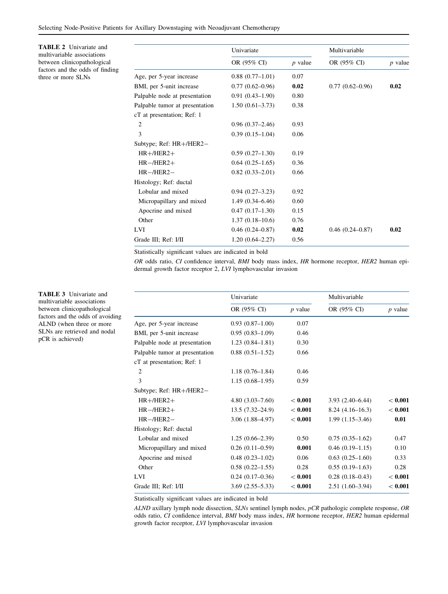<span id="page-4-0"></span>Selecting Node-Positive Patients for Axillary Downstaging with Neoadjuvant Chemotherapy

TABLE 2 Univariate and multivariable associations between clinicopathological factors and the odds of finding three or more SLNs

|                                | Univariate          |           | Multivariable       |           |
|--------------------------------|---------------------|-----------|---------------------|-----------|
|                                | OR (95% CI)         | $p$ value | OR (95% CI)         | $p$ value |
| Age, per 5-year increase       | $0.88(0.77-1.01)$   | 0.07      |                     |           |
| BMI, per 5-unit increase       | $0.77(0.62 - 0.96)$ | 0.02      | $0.77(0.62 - 0.96)$ | 0.02      |
| Palpable node at presentation  | $0.91(0.43 - 1.90)$ | 0.80      |                     |           |
| Palpable tumor at presentation | $1.50(0.61-3.73)$   | 0.38      |                     |           |
| cT at presentation; Ref: 1     |                     |           |                     |           |
| 2                              | $0.96(0.37-2.46)$   | 0.93      |                     |           |
| 3                              | $0.39(0.15-1.04)$   | 0.06      |                     |           |
| Subtype; Ref: HR+/HER2-        |                     |           |                     |           |
| $HR+ / HER2+$                  | $0.59(0.27-1.30)$   | 0.19      |                     |           |
| $HR$ -/HER2+                   | $0.64(0.25-1.65)$   | 0.36      |                     |           |
| $HR - / HER2 -$                | $0.82(0.33 - 2.01)$ | 0.66      |                     |           |
| Histology; Ref: ductal         |                     |           |                     |           |
| Lobular and mixed              | $0.94(0.27-3.23)$   | 0.92      |                     |           |
| Micropapillary and mixed       | $1.49(0.34 - 6.46)$ | 0.60      |                     |           |
| Apocrine and mixed             | $0.47(0.17-1.30)$   | 0.15      |                     |           |
| Other                          | $1.37(0.18-10.6)$   | 0.76      |                     |           |
| LVI.                           | $0.46(0.24 - 0.87)$ | 0.02      | $0.46(0.24 - 0.87)$ | 0.02      |
| Grade III; Ref: I/II           | $1.20(0.64 - 2.27)$ | 0.56      |                     |           |

Statistically significant values are indicated in bold

OR odds ratio, CI confidence interval, BMI body mass index, HR hormone receptor, HER2 human epidermal growth factor receptor 2, LVI lymphovascular invasion

|                                | Univariate          |           | Multivariable     |           |
|--------------------------------|---------------------|-----------|-------------------|-----------|
|                                | OR (95% CI)         | $p$ value | OR (95% CI)       | $p$ value |
| Age, per 5-year increase       | $0.93(0.87-1.00)$   | 0.07      |                   |           |
| BMI, per 5-unit increase       | $0.95(0.83-1.09)$   | 0.46      |                   |           |
| Palpable node at presentation  | $1.23(0.84 - 1.81)$ | 0.30      |                   |           |
| Palpable tumor at presentation | $0.88(0.51-1.52)$   | 0.66      |                   |           |
| cT at presentation; Ref: 1     |                     |           |                   |           |
| 2                              | $1.18(0.76 - 1.84)$ | 0.46      |                   |           |
| 3                              | $1.15(0.68-1.95)$   | 0.59      |                   |           |
| Subtype; Ref: HR+/HER2-        |                     |           |                   |           |
| $HR+ / HER2+$                  | $4.80(3.03 - 7.60)$ | < 0.001   | $3.93(2.40-6.44)$ | < 0.001   |
| $HR$ -/HER2+                   | $13.5(7.32 - 24.9)$ | < 0.001   | $8.24(4.16-16.3)$ | < 0.001   |
| $HR - / HER2 -$                | $3.06(1.88-4.97)$   | < 0.001   | $1.99(1.15-3.46)$ | 0.01      |
| Histology; Ref: ductal         |                     |           |                   |           |
| Lobular and mixed              | $1.25(0.66-2.39)$   | 0.50      | $0.75(0.35-1.62)$ | 0.47      |
| Micropapillary and mixed       | $0.26$ (0.11-0.59)  | 0.001     | $0.46(0.19-1.15)$ | 0.10      |
| Apocrine and mixed             | $0.48(0.23-1.02)$   | 0.06      | $0.63(0.25-1.60)$ | 0.33      |
| Other                          | $0.58(0.22 - 1.55)$ | 0.28      | $0.55(0.19-1.63)$ | 0.28      |
| <b>LVI</b>                     | $0.24(0.17-0.36)$   | < 0.001   | $0.28(0.18-0.43)$ | < 0.001   |
| Grade III; Ref: I/II           | $3.69(2.55 - 5.33)$ | < 0.001   | $2.51(1.60-3.94)$ | < 0.001   |

Statistically significant values are indicated in bold

ALND axillary lymph node dissection, SLNs sentinel lymph nodes, pCR pathologic complete response, OR odds ratio, CI confidence interval, BMI body mass index, HR hormone receptor, HER2 human epidermal growth factor receptor, LVI lymphovascular invasion

TABLE 3 Univariate and multivariable associations between clinicopathological factors and the odds of avoiding ALND (when three or more SLNs are retrieved and nodal pCR is achieved)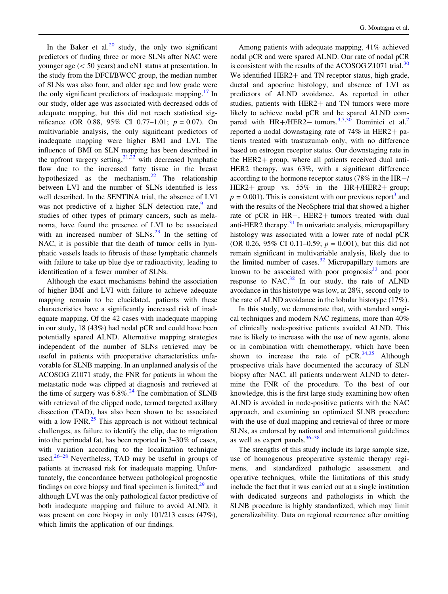In the Baker et al.<sup>[20](#page-6-0)</sup> study, the only two significant predictors of finding three or more SLNs after NAC were younger age  $(< 50$  years) and cN1 status at presentation. In the study from the DFCI/BWCC group, the median number of SLNs was also four, and older age and low grade were the only significant predictors of inadequate mapping.<sup>[17](#page-6-0)</sup> In our study, older age was associated with decreased odds of adequate mapping, but this did not reach statistical significance (OR 0.88, 95% CI 0.77–1.01;  $p = 0.07$ ). On multivariable analysis, the only significant predictors of inadequate mapping were higher BMI and LVI. The influence of BMI on SLN mapping has been described in the upfront surgery setting, $2^{1,22}$  with decreased lymphatic flow due to the increased fatty tissue in the breast hypothesized as the mechanism.<sup>[22](#page-6-0)</sup> The relationship between LVI and the number of SLNs identified is less well described. In the SENTINA trial, the absence of LVI was not predictive of a higher SLN detection rate,  $9$  and studies of other types of primary cancers, such as melanoma, have found the presence of LVI to be associated with an increased number of  $SLNs$ <sup>[23](#page-6-0)</sup>. In the setting of NAC, it is possible that the death of tumor cells in lymphatic vessels leads to fibrosis of these lymphatic channels with failure to take up blue dye or radioactivity, leading to identification of a fewer number of SLNs.

Although the exact mechanisms behind the association of higher BMI and LVI with failure to achieve adequate mapping remain to be elucidated, patients with these characteristics have a significantly increased risk of inadequate mapping. Of the 42 cases with inadequate mapping in our study, 18 (43%) had nodal pCR and could have been potentially spared ALND. Alternative mapping strategies independent of the number of SLNs retrieved may be useful in patients with preoperative characteristics unfavorable for SLNB mapping. In an unplanned analysis of the ACOSOG Z1071 study, the FNR for patients in whom the metastatic node was clipped at diagnosis and retrieved at the time of surgery was  $6.8\%$ .<sup>24</sup> The combination of SLNB with retrieval of the clipped node, termed targeted axillary dissection (TAD), has also been shown to be associated with a low FNR $^{25}$  $^{25}$  $^{25}$  This approach is not without technical challenges, as failure to identify the clip, due to migration into the perinodal fat, has been reported in 3–30% of cases, with variation according to the localization technique used. $26-28$  Nevertheless, TAD may be useful in groups of patients at increased risk for inadequate mapping. Unfortunately, the concordance between pathological prognostic findings on core biopsy and final specimen is limited, $2<sup>9</sup>$  and although LVI was the only pathological factor predictive of both inadequate mapping and failure to avoid ALND, it was present on core biopsy in only 101/213 cases (47%), which limits the application of our findings.

Among patients with adequate mapping, 41% achieved nodal pCR and were spared ALND. Our rate of nodal pCR is consistent with the results of the ACOSOG Z1071 trial. $^{30}$  $^{30}$  $^{30}$ We identified  $HER2+$  and TN receptor status, high grade, ductal and apocrine histology, and absence of LVI as predictors of ALND avoidance. As reported in other studies, patients with HER2+ and TN tumors were more likely to achieve nodal pCR and be spared ALND compared with  $HR+/HER2-$  tumors.<sup>[3,7](#page-6-0)[,30](#page-7-0)</sup> Dominici et al.<sup>[7](#page-6-0)</sup> reported a nodal downstaging rate of  $74\%$  in HER2+ patients treated with trastuzumab only, with no difference based on estrogen receptor status. Our downstaging rate in the  $HER2+$  group, where all patients received dual anti-HER2 therapy, was 63%, with a significant difference according to the hormone receptor status (78% in the HR-/ HER2+ group vs.  $55\%$  in the HR+/HER2+ group;  $p = 0.001$ ). This is consistent with our previous report<sup>[3](#page-6-0)</sup> and with the results of the NeoSphere trial that showed a higher rate of pCR in HR-, HER2+ tumors treated with dual anti-HER2 therapy. $31$  In univariate analysis, micropapillary histology was associated with a lower rate of nodal pCR (OR 0.26, 95% CI 0.11–0.59;  $p = 0.001$ ), but this did not remain significant in multivariable analysis, likely due to the limited number of cases. $32$  Micropapillary tumors are known to be associated with poor prognosis $33$  and poor response to  $NAC.<sup>32</sup>$  $NAC.<sup>32</sup>$  $NAC.<sup>32</sup>$  In our study, the rate of ALND avoidance in this histotype was low, at 28%, second only to the rate of ALND avoidance in the lobular histotype (17%).

In this study, we demonstrate that, with standard surgical techniques and modern NAC regimens, more than 40% of clinically node-positive patients avoided ALND. This rate is likely to increase with the use of new agents, alone or in combination with chemotherapy, which have been shown to increase the rate of  $pCR$ <sup>[34,35](#page-7-0)</sup> Although prospective trials have documented the accuracy of SLN biopsy after NAC, all patients underwent ALND to determine the FNR of the procedure. To the best of our knowledge, this is the first large study examining how often ALND is avoided in node-positive patients with the NAC approach, and examining an optimized SLNB procedure with the use of dual mapping and retrieval of three or more SLNs, as endorsed by national and international guidelines as well as expert panels.<sup>36-38</sup>

The strengths of this study include its large sample size, use of homogenous preoperative systemic therapy regimens, and standardized pathologic assessment and operative techniques, while the limitations of this study include the fact that it was carried out at a single institution with dedicated surgeons and pathologists in which the SLNB procedure is highly standardized, which may limit generalizability. Data on regional recurrence after omitting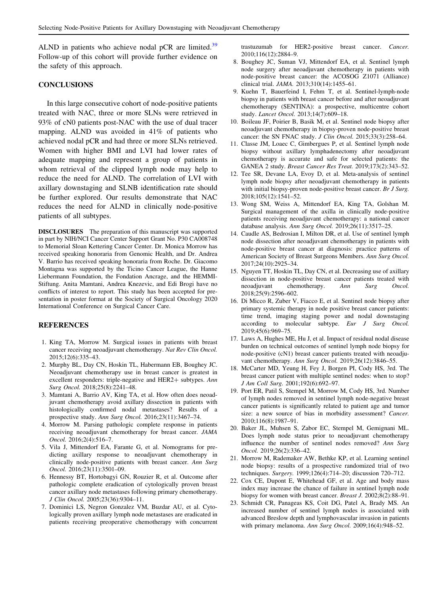<span id="page-6-0"></span>ALND in patients who achieve nodal pCR are limited.<sup>[39](#page-7-0)</sup> Follow-up of this cohort will provide further evidence on the safety of this approach.

# **CONCLUSIONS**

In this large consecutive cohort of node-positive patients treated with NAC, three or more SLNs were retrieved in 93% of cN0 patients post-NAC with the use of dual tracer mapping. ALND was avoided in 41% of patients who achieved nodal pCR and had three or more SLNs retrieved. Women with higher BMI and LVI had lower rates of adequate mapping and represent a group of patients in whom retrieval of the clipped lymph node may help to reduce the need for ALND. The correlation of LVI with axillary downstaging and SLNB identification rate should be further explored. Our results demonstrate that NAC reduces the need for ALND in clinically node-positive patients of all subtypes.

DISCLOSURES The preparation of this manuscript was supported in part by NIH/NCI Cancer Center Support Grant No. P30 CA008748 to Memorial Sloan Kettering Cancer Center. Dr. Monica Morrow has received speaking honoraria from Genomic Health, and Dr. Andrea V. Barrio has received speaking honoraria from Roche. Dr. Giacomo Montagna was supported by the Ticino Cancer League, the Hanne Liebermann Foundation, the Fondation Ancrage, and the HEMMI-Stiftung. Anita Mamtani, Andrea Knezevic, and Edi Brogi have no conflicts of interest to report. This study has been accepted for presentation in poster format at the Society of Surgical Oncology 2020 International Conference on Surgical Cancer Care.

# **REFERENCES**

- 1. King TA, Morrow M. Surgical issues in patients with breast cancer receiving neoadjuvant chemotherapy. Nat Rev Clin Oncol. 2015;12(6):335–43.
- 2. Murphy BL, Day CN, Hoskin TL, Habermann EB, Boughey JC. Neoadjuvant chemotherapy use in breast cancer is greatest in excellent responders: triple-negative and HER2+ subtypes. Ann Surg Oncol. 2018;25(8):2241–48.
- 3. Mamtani A, Barrio AV, King TA, et al. How often does neoadjuvant chemotherapy avoid axillary dissection in patients with histologically confirmed nodal metastases? Results of a prospective study. Ann Surg Oncol. 2016;23(11):3467–74.
- 4. Morrow M. Parsing pathologic complete response in patients receiving neoadjuvant chemotherapy for breast cancer. JAMA Oncol. 2016;2(4):516–7.
- 5. Vila J, Mittendorf EA, Farante G, et al. Nomograms for predicting axillary response to neoadjuvant chemotherapy in clinically node-positive patients with breast cancer. Ann Surg Oncol. 2016;23(11):3501–09.
- 6. Hennessy BT, Hortobagyi GN, Rouzier R, et al. Outcome after pathologic complete eradication of cytologically proven breast cancer axillary node metastases following primary chemotherapy. J Clin Oncol. 2005;23(36):9304–11.
- 7. Dominici LS, Negron Gonzalez VM, Buzdar AU, et al. Cytologically proven axillary lymph node metastases are eradicated in patients receiving preoperative chemotherapy with concurrent

trastuzumab for HER2-positive breast cancer. Cancer. 2010;116(12):2884–9.

- 8. Boughey JC, Suman VJ, Mittendorf EA, et al. Sentinel lymph node surgery after neoadjuvant chemotherapy in patients with node-positive breast cancer: the ACOSOG Z1071 (Alliance) clinical trial. JAMA. 2013;310(14):1455–61.
- 9. Kuehn T, Bauerfeind I, Fehm T, et al. Sentinel-lymph-node biopsy in patients with breast cancer before and after neoadjuvant chemotherapy (SENTINA): a prospective, multicentre cohort study. Lancet Oncol. 2013;14(7):609–18.
- 10. Boileau JF, Poirier B, Basik M, et al. Sentinel node biopsy after neoadjuvant chemotherapy in biopsy-proven node-positive breast cancer: the SN FNAC study. J Clin Oncol. 2015;33(3):258–64.
- 11. Classe JM, Loaec C, Gimbergues P, et al. Sentinel lymph node biopsy without axillary lymphadenectomy after neoadjuvant chemotherapy is accurate and safe for selected patients: the GANEA 2 study. Breast Cancer Res Treat. 2019;173(2):343–52.
- 12. Tee SR, Devane LA, Evoy D, et al. Meta-analysis of sentinel lymph node biopsy after neoadjuvant chemotherapy in patients with initial biopsy-proven node-positive breast cancer. Br J Surg. 2018;105(12):1541–52.
- 13. Wong SM, Weiss A, Mittendorf EA, King TA, Golshan M. Surgical management of the axilla in clinically node-positive patients receiving neoadjuvant chemotherapy: a national cancer database analysis. Ann Surg Oncol. 2019;26(11):3517–25.
- 14. Caudle AS, Bedrosian I, Milton DR, et al. Use of sentinel lymph node dissection after neoadjuvant chemotherapy in patients with node-positive breast cancer at diagnosis: practice patterns of American Society of Breast Surgeons Members. Ann Surg Oncol. 2017;24(10):2925–34.
- 15. Nguyen TT, Hoskin TL, Day CN, et al. Decreasing use of axillary dissection in node-positive breast cancer patients treated with neoadjuvant chemotherapy. Ann Surg Oncol. 2018;25(9):2596–602.
- 16. Di Micco R, Zuber V, Fiacco E, et al. Sentinel node biopsy after primary systemic therapy in node positive breast cancer patients: time trend, imaging staging power and nodal downstaging according to molecular subtype. Eur J Surg Oncol. 2019;45(6):969–75.
- 17. Laws A, Hughes ME, Hu J, et al. Impact of residual nodal disease burden on technical outcomes of sentinel lymph node biopsy for node-positive (cN1) breast cancer patients treated with neoadjuvant chemotherapy. Ann Surg Oncol. 2019;26(12):3846-55.
- 18. McCarter MD, Yeung H, Fey J, Borgen PI, Cody HS, 3rd. The breast cancer patient with multiple sentinel nodes: when to stop? J Am Coll Surg. 2001;192(6):692–97.
- 19. Port ER, Patil S, Stempel M, Morrow M, Cody HS, 3rd. Number of lymph nodes removed in sentinel lymph node-negative breast cancer patients is significantly related to patient age and tumor size: a new source of bias in morbidity assessment? Cancer. 2010;116(8):1987–91.
- 20. Baker JL, Muhsen S, Zabor EC, Stempel M, Gemignani ML. Does lymph node status prior to neoadjuvant chemotherapy influence the number of sentinel nodes removed? Ann Surg Oncol. 2019;26(2):336–42.
- 21. Morrow M, Rademaker AW, Bethke KP, et al. Learning sentinel node biopsy: results of a prospective randomized trial of two techniques. Surgery. 1999;126(4):714–20; discussion 720–712.
- 22. Cox CE, Dupont E, Whitehead GF, et al. Age and body mass index may increase the chance of failure in sentinel lymph node biopsy for women with breast cancer. Breast J. 2002;8(2):88–91.
- 23. Schmidt CR, Panageas KS, Coit DG, Patel A, Brady MS. An increased number of sentinel lymph nodes is associated with advanced Breslow depth and lymphovascular invasion in patients with primary melanoma. Ann Surg Oncol. 2009;16(4):948–52.